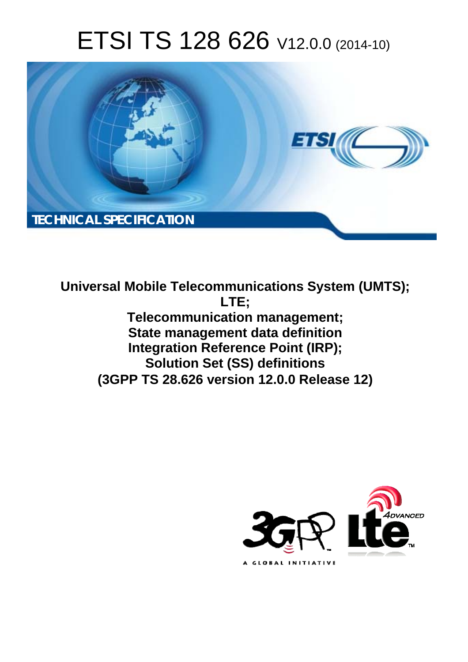# ETSI TS 128 626 V12.0.0 (2014-10)



**Universal Mobile Telecommunications System (UMTS); LTE; Telecommunication management; State management data definition Integration Reference Point (IRP); Solution Set (SS) definitions (3GPP TS 28.626 version 12.0.0 Release 12)** 

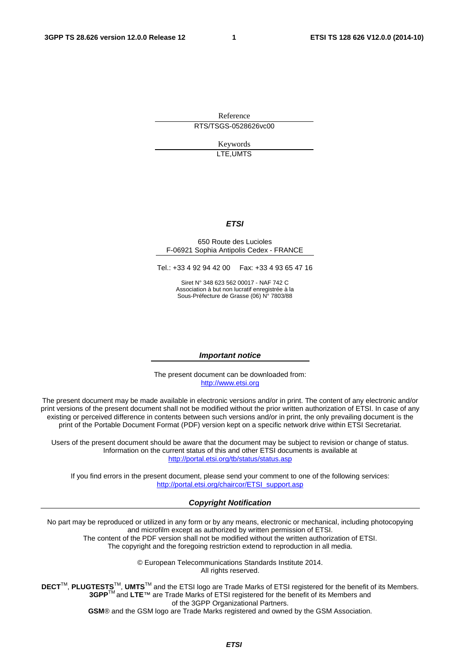Reference RTS/TSGS-0528626vc00

> Keywords LTE,UMTS

#### *ETSI*

#### 650 Route des Lucioles F-06921 Sophia Antipolis Cedex - FRANCE

Tel.: +33 4 92 94 42 00 Fax: +33 4 93 65 47 16

Siret N° 348 623 562 00017 - NAF 742 C Association à but non lucratif enregistrée à la Sous-Préfecture de Grasse (06) N° 7803/88

#### *Important notice*

The present document can be downloaded from: [http://www.etsi.org](http://www.etsi.org/)

The present document may be made available in electronic versions and/or in print. The content of any electronic and/or print versions of the present document shall not be modified without the prior written authorization of ETSI. In case of any existing or perceived difference in contents between such versions and/or in print, the only prevailing document is the print of the Portable Document Format (PDF) version kept on a specific network drive within ETSI Secretariat.

Users of the present document should be aware that the document may be subject to revision or change of status. Information on the current status of this and other ETSI documents is available at <http://portal.etsi.org/tb/status/status.asp>

If you find errors in the present document, please send your comment to one of the following services: [http://portal.etsi.org/chaircor/ETSI\\_support.asp](http://portal.etsi.org/chaircor/ETSI_support.asp)

#### *Copyright Notification*

No part may be reproduced or utilized in any form or by any means, electronic or mechanical, including photocopying and microfilm except as authorized by written permission of ETSI.

The content of the PDF version shall not be modified without the written authorization of ETSI. The copyright and the foregoing restriction extend to reproduction in all media.

> © European Telecommunications Standards Institute 2014. All rights reserved.

**DECT**TM, **PLUGTESTS**TM, **UMTS**TM and the ETSI logo are Trade Marks of ETSI registered for the benefit of its Members. **3GPP**TM and **LTE**™ are Trade Marks of ETSI registered for the benefit of its Members and of the 3GPP Organizational Partners.

**GSM**® and the GSM logo are Trade Marks registered and owned by the GSM Association.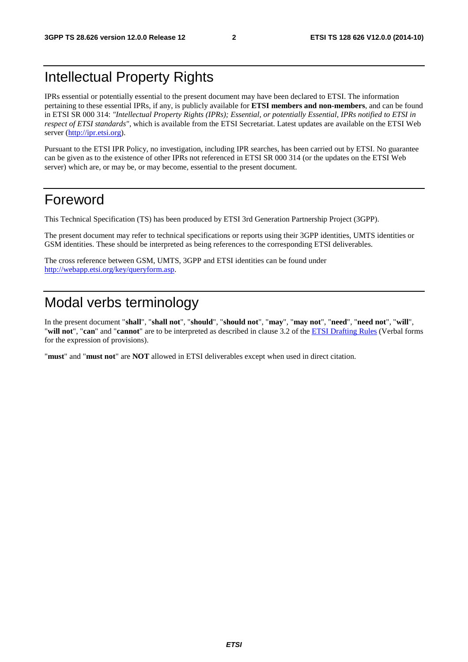#### Intellectual Property Rights

IPRs essential or potentially essential to the present document may have been declared to ETSI. The information pertaining to these essential IPRs, if any, is publicly available for **ETSI members and non-members**, and can be found in ETSI SR 000 314: *"Intellectual Property Rights (IPRs); Essential, or potentially Essential, IPRs notified to ETSI in respect of ETSI standards"*, which is available from the ETSI Secretariat. Latest updates are available on the ETSI Web server [\(http://ipr.etsi.org\)](http://webapp.etsi.org/IPR/home.asp).

Pursuant to the ETSI IPR Policy, no investigation, including IPR searches, has been carried out by ETSI. No guarantee can be given as to the existence of other IPRs not referenced in ETSI SR 000 314 (or the updates on the ETSI Web server) which are, or may be, or may become, essential to the present document.

#### Foreword

This Technical Specification (TS) has been produced by ETSI 3rd Generation Partnership Project (3GPP).

The present document may refer to technical specifications or reports using their 3GPP identities, UMTS identities or GSM identities. These should be interpreted as being references to the corresponding ETSI deliverables.

The cross reference between GSM, UMTS, 3GPP and ETSI identities can be found under [http://webapp.etsi.org/key/queryform.asp.](http://webapp.etsi.org/key/queryform.asp)

### Modal verbs terminology

In the present document "**shall**", "**shall not**", "**should**", "**should not**", "**may**", "**may not**", "**need**", "**need not**", "**will**", "**will not**", "**can**" and "**cannot**" are to be interpreted as described in clause 3.2 of the [ETSI Drafting Rules](http://portal.etsi.org/Help/editHelp!/Howtostart/ETSIDraftingRules.aspx) (Verbal forms for the expression of provisions).

"**must**" and "**must not**" are **NOT** allowed in ETSI deliverables except when used in direct citation.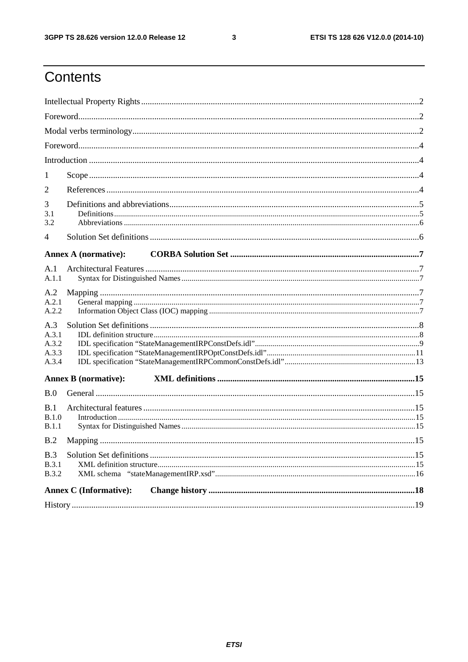$\mathbf{3}$ 

# Contents

| 1                                       |  |  |  |  |  |
|-----------------------------------------|--|--|--|--|--|
| $\overline{2}$                          |  |  |  |  |  |
| 3<br>3.1<br>3.2                         |  |  |  |  |  |
| $\overline{4}$                          |  |  |  |  |  |
| <b>Annex A (normative):</b>             |  |  |  |  |  |
| A.1                                     |  |  |  |  |  |
| A.1.1                                   |  |  |  |  |  |
| A.2<br>A.2.1<br>A.2.2                   |  |  |  |  |  |
| A.3<br>A.3.1<br>A.3.2<br>A.3.3<br>A.3.4 |  |  |  |  |  |
| <b>Annex B</b> (normative):             |  |  |  |  |  |
| B.0                                     |  |  |  |  |  |
| B.1<br>B.1.0<br>B.1.1                   |  |  |  |  |  |
| B.2                                     |  |  |  |  |  |
| B.3<br><b>B.3.1</b><br><b>B.3.2</b>     |  |  |  |  |  |
| <b>Annex C</b> (Informative):           |  |  |  |  |  |
|                                         |  |  |  |  |  |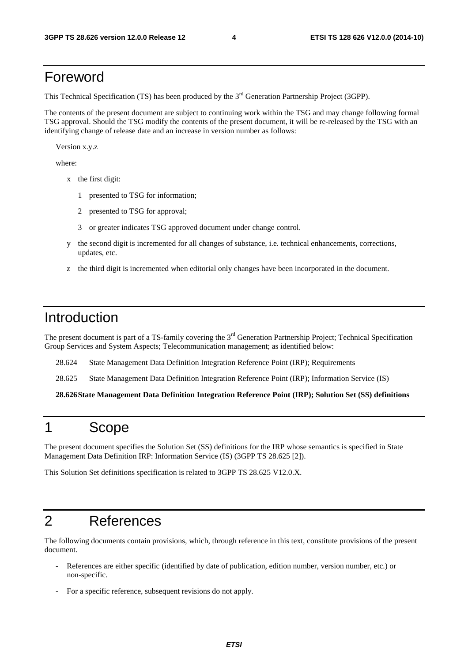#### Foreword

This Technical Specification (TS) has been produced by the 3<sup>rd</sup> Generation Partnership Project (3GPP).

The contents of the present document are subject to continuing work within the TSG and may change following formal TSG approval. Should the TSG modify the contents of the present document, it will be re-released by the TSG with an identifying change of release date and an increase in version number as follows:

Version x.y.z

where:

- x the first digit:
	- 1 presented to TSG for information;
	- 2 presented to TSG for approval;
	- 3 or greater indicates TSG approved document under change control.
- y the second digit is incremented for all changes of substance, i.e. technical enhancements, corrections, updates, etc.
- z the third digit is incremented when editorial only changes have been incorporated in the document.

#### Introduction

The present document is part of a TS-family covering the 3<sup>rd</sup> Generation Partnership Project; Technical Specification Group Services and System Aspects; Telecommunication management; as identified below:

28.624 State Management Data Definition Integration Reference Point (IRP); Requirements

28.625 State Management Data Definition Integration Reference Point (IRP); Information Service (IS)

**28.626 State Management Data Definition Integration Reference Point (IRP); Solution Set (SS) definitions** 

#### 1 Scope

The present document specifies the Solution Set (SS) definitions for the IRP whose semantics is specified in State Management Data Definition IRP: Information Service (IS) (3GPP TS 28.625 [2]).

This Solution Set definitions specification is related to 3GPP TS 28.625 V12.0.X.

#### 2 References

The following documents contain provisions, which, through reference in this text, constitute provisions of the present document.

- References are either specific (identified by date of publication, edition number, version number, etc.) or non-specific.
- For a specific reference, subsequent revisions do not apply.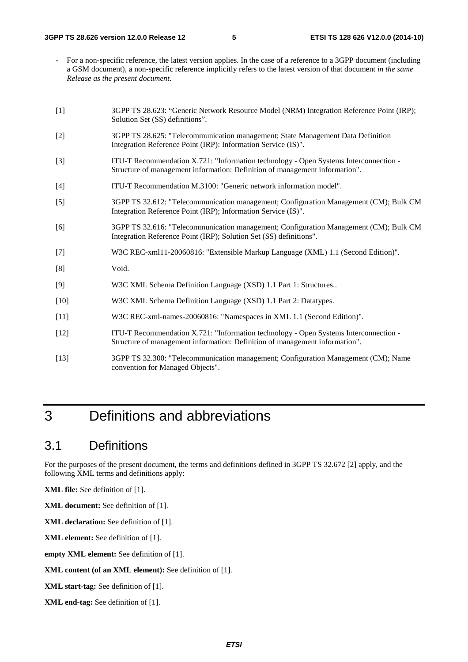- For a non-specific reference, the latest version applies. In the case of a reference to a 3GPP document (including a GSM document), a non-specific reference implicitly refers to the latest version of that document *in the same Release as the present document*.
- [1] 3GPP TS 28.623: "Generic Network Resource Model (NRM) Integration Reference Point (IRP); Solution Set (SS) definitions".
- [2] 3GPP TS 28.625: "Telecommunication management; State Management Data Definition Integration Reference Point (IRP): Information Service (IS)".
- [3] ITU-T Recommendation X.721: "Information technology Open Systems Interconnection Structure of management information: Definition of management information".
- [4] ITU-T Recommendation M.3100: "Generic network information model".
- [5] 3GPP TS 32.612: "Telecommunication management; Configuration Management (CM); Bulk CM Integration Reference Point (IRP); Information Service (IS)".
- [6] 3GPP TS 32.616: "Telecommunication management; Configuration Management (CM); Bulk CM Integration Reference Point (IRP); Solution Set (SS) definitions".
- [7] W3C REC-xml11-20060816: "Extensible Markup Language (XML) 1.1 (Second Edition)".
- [8] Void.
- [9] W3C XML Schema Definition Language (XSD) 1.1 Part 1: Structures..
- [10] W3C XML Schema Definition Language (XSD) 1.1 Part 2: Datatypes.
- [11] W3C REC-xml-names-20060816: "Namespaces in XML 1.1 (Second Edition)".
- [12] ITU-T Recommendation X.721: "Information technology Open Systems Interconnection Structure of management information: Definition of management information".
- [13] 3GPP TS 32.300: "Telecommunication management; Configuration Management (CM); Name convention for Managed Objects".

#### 3 Definitions and abbreviations

#### 3.1 Definitions

For the purposes of the present document, the terms and definitions defined in 3GPP TS 32.672 [2] apply, and the following XML terms and definitions apply:

**XML file:** See definition of [1].

**XML document:** See definition of [1].

**XML declaration:** See definition of [1].

**XML element:** See definition of [1].

**empty XML element:** See definition of [1].

**XML content (of an XML element):** See definition of [1].

**XML start-tag:** See definition of [1].

**XML end-tag:** See definition of [1].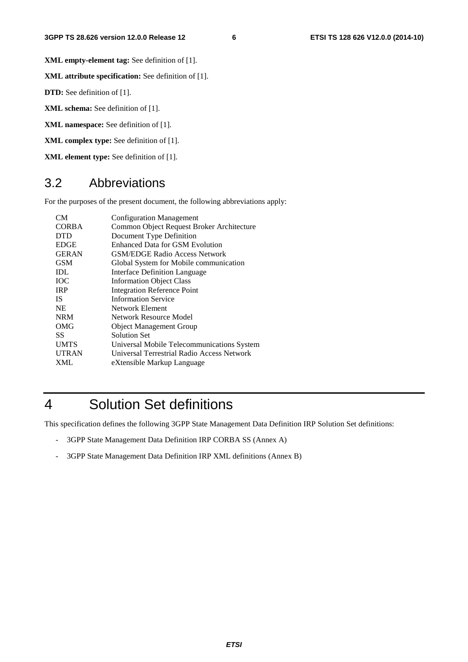**XML empty-element tag:** See definition of [1].

**XML attribute specification:** See definition of [1].

**DTD:** See definition of [1].

**XML schema:** See definition of [1].

**XML namespace:** See definition of [1].

**XML complex type:** See definition of [1].

**XML element type:** See definition of [1].

#### 3.2 Abbreviations

For the purposes of the present document, the following abbreviations apply:

| CM <sub></sub> | <b>Configuration Management</b>            |
|----------------|--------------------------------------------|
| <b>CORBA</b>   | Common Object Request Broker Architecture  |
| <b>DTD</b>     | Document Type Definition                   |
| <b>EDGE</b>    | <b>Enhanced Data for GSM Evolution</b>     |
| <b>GERAN</b>   | <b>GSM/EDGE Radio Access Network</b>       |
| <b>GSM</b>     | Global System for Mobile communication     |
| <b>IDL</b>     | Interface Definition Language              |
| <b>TOC</b>     | <b>Information Object Class</b>            |
| <b>IRP</b>     | <b>Integration Reference Point</b>         |
| <b>IS</b>      | <b>Information Service</b>                 |
| <b>NE</b>      | Network Element                            |
| <b>NRM</b>     | Network Resource Model                     |
| OMG            | <b>Object Management Group</b>             |
| SS.            | <b>Solution Set</b>                        |
| <b>UMTS</b>    | Universal Mobile Telecommunications System |
| <b>UTRAN</b>   | Universal Terrestrial Radio Access Network |
| <b>XML</b>     | eXtensible Markup Language                 |
|                |                                            |

# 4 Solution Set definitions

This specification defines the following 3GPP State Management Data Definition IRP Solution Set definitions:

- 3GPP State Management Data Definition IRP CORBA SS (Annex A)
- 3GPP State Management Data Definition IRP XML definitions (Annex B)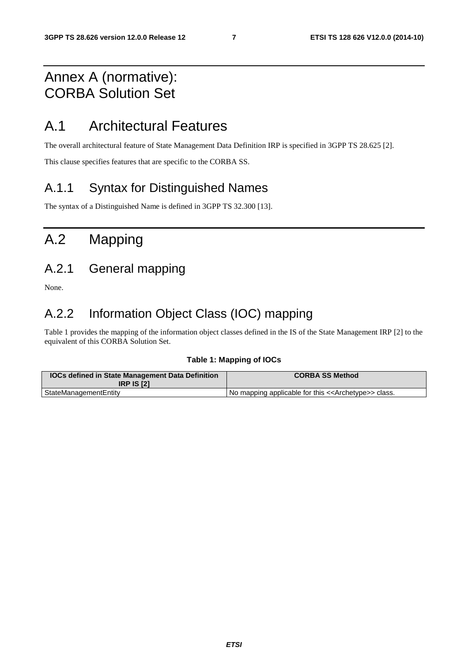### Annex A (normative): CORBA Solution Set

### A.1 Architectural Features

The overall architectural feature of State Management Data Definition IRP is specified in 3GPP TS 28.625 [2].

This clause specifies features that are specific to the CORBA SS.

#### A.1.1 Syntax for Distinguished Names

The syntax of a Distinguished Name is defined in 3GPP TS 32.300 [13].

# A.2 Mapping

#### A.2.1 General mapping

None.

### A.2.2 Information Object Class (IOC) mapping

Table 1 provides the mapping of the information object classes defined in the IS of the State Management IRP [2] to the equivalent of this CORBA Solution Set.

#### **Table 1: Mapping of IOCs**

| <b>IOCs defined in State Management Data Definition</b><br><b>IRP IS [2]</b> | <b>CORBA SS Method</b>                                              |
|------------------------------------------------------------------------------|---------------------------------------------------------------------|
| StateManagementEntity                                                        | No mapping applicable for this < <archetype>&gt; class.</archetype> |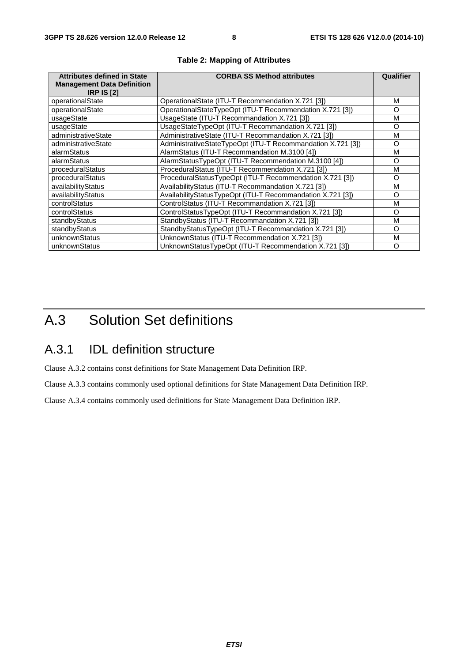| <b>Attributes defined in State</b><br><b>Management Data Definition</b><br><b>IRP IS [2]</b> | <b>CORBA SS Method attributes</b>                           | Qualifier |
|----------------------------------------------------------------------------------------------|-------------------------------------------------------------|-----------|
| operationalState                                                                             | OperationalState (ITU-T Recommendation X.721 [3])           | м         |
| operationalState                                                                             | OperationalStateTypeOpt (ITU-T Recommendation X.721 [3])    | O         |
| usageState                                                                                   | UsageState (ITU-T Recommandation X.721 [3])                 | м         |
| usageState                                                                                   | UsageStateTypeOpt (ITU-T Recommandation X.721 [3])          | O         |
| administrativeState                                                                          | AdministrativeState (ITU-T Recommandation X.721 [3])        | м         |
| administrativeState                                                                          | AdministrativeStateTypeOpt (ITU-T Recommandation X.721 [3]) | $\Omega$  |
| alarmStatus                                                                                  | AlarmStatus (ITU-T Recommandation M.3100 [4])               | м         |
| alarmStatus                                                                                  | AlarmStatusTypeOpt (ITU-T Recommendation M.3100 [4])        | O         |
| proceduralStatus                                                                             | ProceduralStatus (ITU-T Recommendation X.721 [3])           | м         |
| proceduralStatus                                                                             | ProceduralStatusTypeOpt (ITU-T Recommendation X.721 [3])    | $\Omega$  |
| availabilityStatus                                                                           | AvailabilityStatus (ITU-T Recommandation X.721 [3])         | м         |
| availabilityStatus                                                                           | AvailabilityStatusTypeOpt (ITU-T Recommandation X.721 [3])  | O         |
| controlStatus                                                                                | ControlStatus (ITU-T Recommandation X.721 [3])              | М         |
| controlStatus                                                                                | ControlStatusTypeOpt (ITU-T Recommandation X.721 [3])       | O         |
| standbyStatus                                                                                | StandbyStatus (ITU-T Recommandation X.721 [3])              | М         |
| standbyStatus                                                                                | StandbyStatusTypeOpt (ITU-T Recommandation X.721 [3])       | O         |
| unknownStatus                                                                                | UnknownStatus (ITU-T Recommendation X.721 [3])              | М         |
| unknownStatus                                                                                | UnknownStatusTypeOpt (ITU-T Recommendation X.721 [3])       | O         |

#### **Table 2: Mapping of Attributes**

# A.3 Solution Set definitions

#### A.3.1 IDL definition structure

Clause A.3.2 contains const definitions for State Management Data Definition IRP.

Clause A.3.3 contains commonly used optional definitions for State Management Data Definition IRP.

Clause A.3.4 contains commonly used definitions for State Management Data Definition IRP.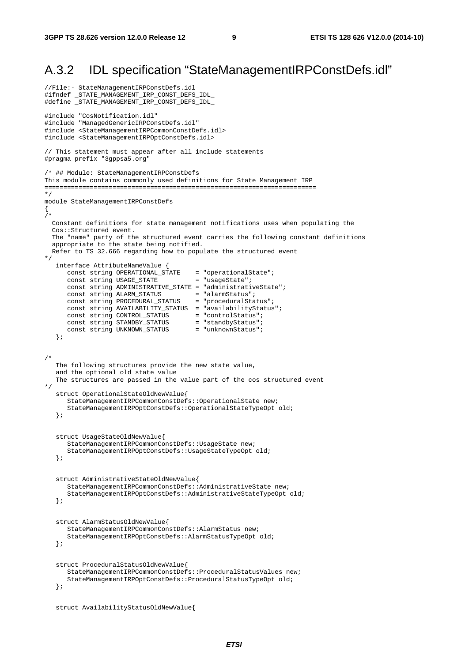#### A.3.2 IDL specification "StateManagementIRPConstDefs.idl"

```
//File:- StateManagementIRPConstDefs.idl 
#ifndef _STATE_MANAGEMENT_IRP_CONST_DEFS_IDL_ 
#define _STATE_MANAGEMENT_IRP_CONST_DEFS_IDL_ 
#include "CosNotification.idl" 
#include "ManagedGenericIRPConstDefs.idl" 
#include <StateManagementIRPCommonConstDefs.idl> 
#include <StateManagementIRPOptConstDefs.idl> 
// This statement must appear after all include statements 
#pragma prefix "3gppsa5.org" 
/* ## Module: StateManagementIRPConstDefs 
This module contains commonly used definitions for State Management IRP 
======================================================================== 
*/ 
module StateManagementIRPConstDefs 
{ 
/* 
   Constant definitions for state management notifications uses when populating the 
   Cos::Structured event. 
   The "name" party of the structured event carries the following constant definitions 
   appropriate to the state being notified. 
   Refer to TS 32.666 regarding how to populate the structured event 
*/ 
    interface AttributeNameValue { 
 const string OPERATIONAL_STATE = "operationalState"; 
const string USAGE_STATE = "usageState";
       const string ADMINISTRATIVE_STATE = "administrativeState"; 
       const string ALARM_STATUS = "alarmStatus"; 
      const string PROCEDURAL_STATUS = "proceduralStatus";
       const string AVAILABILITY_STATUS = "availabilityStatus"; 
      const string CONTROL_STATUS = "controlStatus";<br>
const string STANDBY_STATUS = "standbyStatus";<br>
const string UNKNOWN_STATUS = "unknownStatus";
      const string STANDBY_STATUS
      const string UNKNOWN_STATUS
    }; 
/* 
    The following structures provide the new state value, 
    and the optional old state value 
    The structures are passed in the value part of the cos structured event 
*/ 
    struct OperationalStateOldNewValue{ 
       StateManagementIRPCommonConstDefs::OperationalState new; 
       StateManagementIRPOptConstDefs::OperationalStateTypeOpt old; 
    }; 
    struct UsageStateOldNewValue{ 
       StateManagementIRPCommonConstDefs::UsageState new; 
       StateManagementIRPOptConstDefs::UsageStateTypeOpt old; 
    }; 
    struct AdministrativeStateOldNewValue{ 
       StateManagementIRPCommonConstDefs::AdministrativeState new; 
       StateManagementIRPOptConstDefs::AdministrativeStateTypeOpt old; 
    }; 
    struct AlarmStatusOldNewValue{ 
       StateManagementIRPCommonConstDefs::AlarmStatus new; 
       StateManagementIRPOptConstDefs::AlarmStatusTypeOpt old; 
    }; 
    struct ProceduralStatusOldNewValue{ 
       StateManagementIRPCommonConstDefs::ProceduralStatusValues new; 
       StateManagementIRPOptConstDefs::ProceduralStatusTypeOpt old; 
    }; 
    struct AvailabilityStatusOldNewValue{
```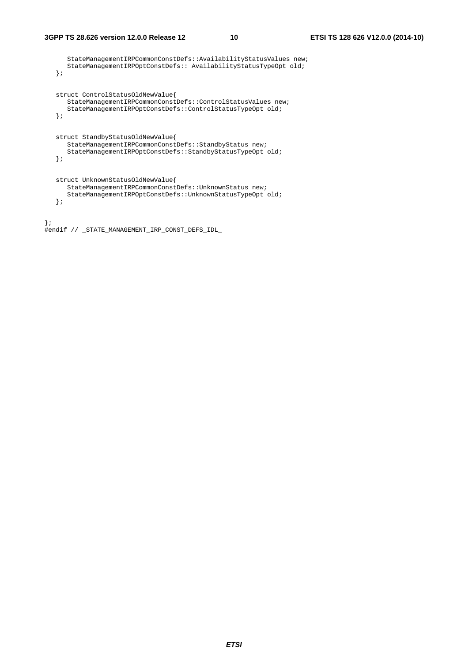```
 StateManagementIRPCommonConstDefs::AvailabilityStatusValues new; 
       StateManagementIRPOptConstDefs:: AvailabilityStatusTypeOpt old; 
   }; 
    struct ControlStatusOldNewValue{ 
       StateManagementIRPCommonConstDefs::ControlStatusValues new; 
       StateManagementIRPOptConstDefs::ControlStatusTypeOpt old; 
    }; 
   struct StandbyStatusOldNewValue{ 
       StateManagementIRPCommonConstDefs::StandbyStatus new; 
       StateManagementIRPOptConstDefs::StandbyStatusTypeOpt old; 
    }; 
   struct UnknownStatusOldNewValue{ 
       StateManagementIRPCommonConstDefs::UnknownStatus new; 
       StateManagementIRPOptConstDefs::UnknownStatusTypeOpt old; 
    }; 
};
```

```
#endif // _STATE_MANAGEMENT_IRP_CONST_DEFS_IDL_
```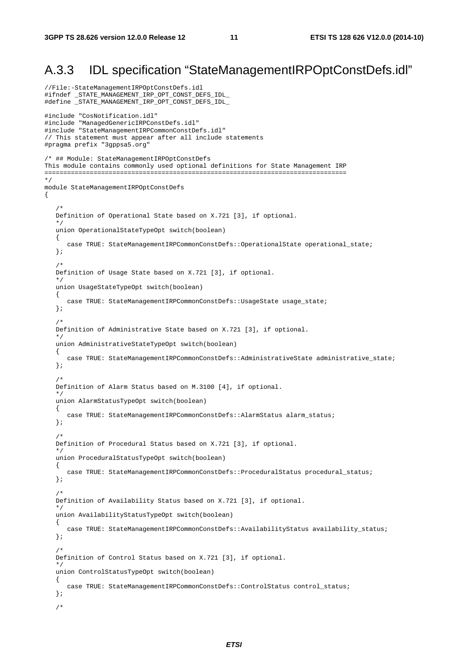#### A.3.3 IDL specification "StateManagementIRPOptConstDefs.idl"

```
//File:-StateManagementIRPOptConstDefs.idl 
#ifndef _STATE_MANAGEMENT_IRP_OPT_CONST_DEFS_IDL_ 
#define _STATE_MANAGEMENT_IRP_OPT_CONST_DEFS_IDL_ 
#include "CosNotification.idl" 
#include "ManagedGenericIRPConstDefs.idl" 
#include "StateManagementIRPCommonConstDefs.idl" 
// This statement must appear after all include statements 
#pragma prefix "3gppsa5.org" 
/* ## Module: StateManagementIRPOptConstDefs 
This module contains commonly used optional definitions for State Management IRP 
================================================================================ 
*/ 
module StateManagementIRPOptConstDefs 
{ 
    /* 
    Definition of Operational State based on X.721 [3], if optional. 
    */ 
    union OperationalStateTypeOpt switch(boolean) 
    { 
       case TRUE: StateManagementIRPCommonConstDefs::OperationalState operational_state; 
    }; 
/ *
    Definition of Usage State based on X.721 [3], if optional. 
    */ 
    union UsageStateTypeOpt switch(boolean) 
    { 
       case TRUE: StateManagementIRPCommonConstDefs::UsageState usage_state; 
    }; 
    /* 
    Definition of Administrative State based on X.721 [3], if optional. 
    */ 
    union AdministrativeStateTypeOpt switch(boolean) 
    { 
       case TRUE: StateManagementIRPCommonConstDefs::AdministrativeState administrative_state; 
    }; 
/ *
    Definition of Alarm Status based on M.3100 [4], if optional. 
 */ 
    union AlarmStatusTypeOpt switch(boolean) 
    { 
       case TRUE: StateManagementIRPCommonConstDefs::AlarmStatus alarm_status; 
    }; 
    /* 
    Definition of Procedural Status based on X.721 [3], if optional. 
 */ 
    union ProceduralStatusTypeOpt switch(boolean) 
    { 
      case TRUE: StateManagementIRPCommonConstDefs::ProceduralStatus procedural_status;
    }; 
    /* 
    Definition of Availability Status based on X.721 [3], if optional. 
 */ 
    union AvailabilityStatusTypeOpt switch(boolean) 
    { 
       case TRUE: StateManagementIRPCommonConstDefs::AvailabilityStatus availability_status; 
    }; 
    /* 
    Definition of Control Status based on X.721 [3], if optional. 
 */ 
    union ControlStatusTypeOpt switch(boolean) 
    { 
       case TRUE: StateManagementIRPCommonConstDefs::ControlStatus control_status; 
    }; 
    /*
```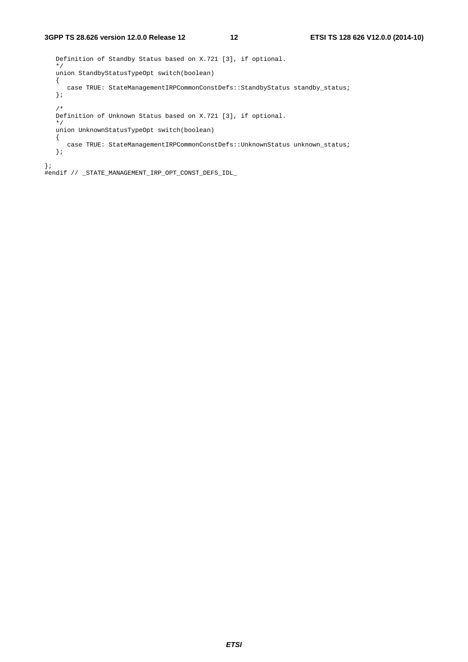Definition of Standby Status based on X.721 [3], if optional. \*/ union StandbyStatusTypeOpt switch(boolean) { case TRUE: StateManagementIRPCommonConstDefs::StandbyStatus standby\_status; }; /\* Definition of Unknown Status based on X.721 [3], if optional. \*/ union UnknownStatusTypeOpt switch(boolean) { case TRUE: StateManagementIRPCommonConstDefs::UnknownStatus unknown\_status; }; };

#endif // \_STATE\_MANAGEMENT\_IRP\_OPT\_CONST\_DEFS\_IDL\_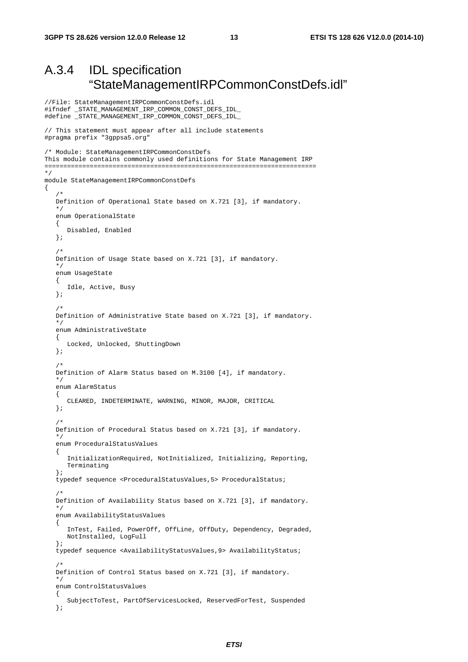//File: StateManagementIRPCommonConstDefs.idl

### A.3.4 IDL specification "StateManagementIRPCommonConstDefs.idl"

```
#ifndef _STATE_MANAGEMENT_IRP_COMMON_CONST_DEFS_IDL_ 
#define _STATE_MANAGEMENT_IRP_COMMON_CONST_DEFS_IDL_ 
// This statement must appear after all include statements 
#pragma prefix "3gppsa5.org" 
/* Module: StateManagementIRPCommonConstDefs 
This module contains commonly used definitions for State Management IRP 
======================================================================== 
*/ 
module StateManagementIRPCommonConstDefs 
{ 
/ *
    Definition of Operational State based on X.721 [3], if mandatory. 
    */ 
    enum OperationalState 
    { 
       Disabled, Enabled 
    }; 
    /* 
    Definition of Usage State based on X.721 [3], if mandatory. 
    */ 
    enum UsageState 
    { 
       Idle, Active, Busy 
    }; 
    /* 
    Definition of Administrative State based on X.721 [3], if mandatory. 
    */ 
    enum AdministrativeState 
    { 
       Locked, Unlocked, ShuttingDown 
    }; 
    /* 
    Definition of Alarm Status based on M.3100 [4], if mandatory. 
 */ 
    enum AlarmStatus 
    { 
       CLEARED, INDETERMINATE, WARNING, MINOR, MAJOR, CRITICAL 
    }; 
   /*
    Definition of Procedural Status based on X.721 [3], if mandatory. 
 */ 
    enum ProceduralStatusValues 
    { 
       InitializationRequired, NotInitialized, Initializing, Reporting, 
       Terminating 
    }; 
    typedef sequence <ProceduralStatusValues,5> ProceduralStatus; 
    /* 
    Definition of Availability Status based on X.721 [3], if mandatory. 
    */ 
    enum AvailabilityStatusValues 
   \left\{ \right. InTest, Failed, PowerOff, OffLine, OffDuty, Dependency, Degraded, 
       NotInstalled, LogFull 
    }; 
    typedef sequence <AvailabilityStatusValues,9> AvailabilityStatus; 
    /* 
    Definition of Control Status based on X.721 [3], if mandatory. 
    */ 
    enum ControlStatusValues 
    { 
       SubjectToTest, PartOfServicesLocked, ReservedForTest, Suspended 
    };
```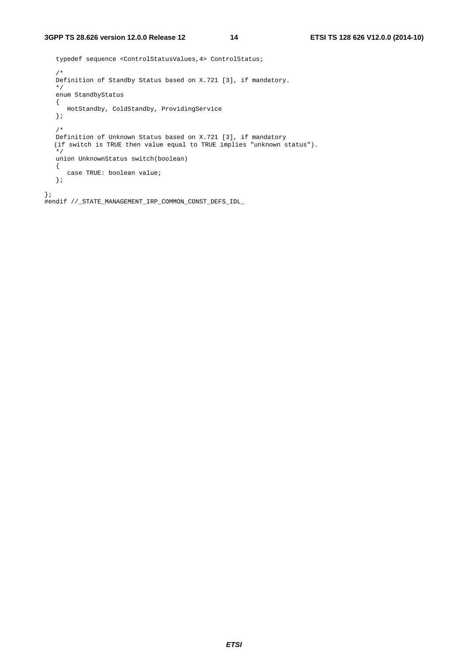```
 typedef sequence <ControlStatusValues,4> ControlStatus; 
    /* 
   Definition of Standby Status based on X.721 [3], if mandatory. 
    */ 
    enum StandbyStatus 
    { 
      HotStandby, ColdStandby, ProvidingService 
    }; 
    /* 
 Definition of Unknown Status based on X.721 [3], if mandatory 
 (if switch is TRUE then value equal to TRUE implies "unknown status"). 
    */ 
   union UnknownStatus switch(boolean) 
    { 
      case TRUE: boolean value; 
    }; 
}; 
#endif //_STATE_MANAGEMENT_IRP_COMMON_CONST_DEFS_IDL_
```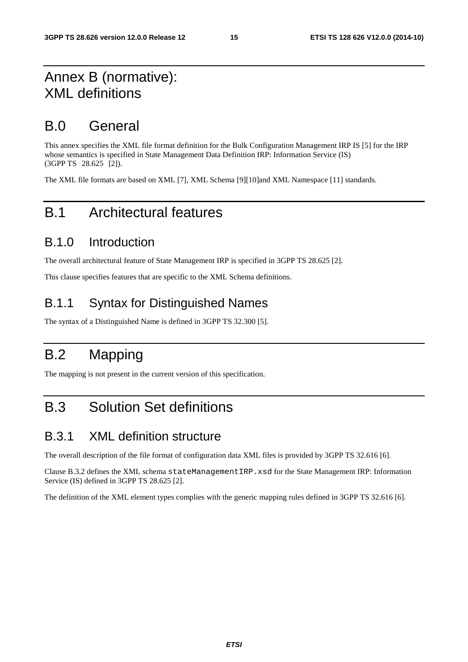### Annex B (normative): XML definitions

### B.0 General

This annex specifies the XML file format definition for the Bulk Configuration Management IRP IS [5] for the IRP whose semantics is specified in State Management Data Definition IRP: Information Service (IS) (3GPP TS 28.625 [2]).

The XML file formats are based on XML [7], XML Schema [9][10]and XML Namespace [11] standards.

### B.1 Architectural features

#### B.1.0 Introduction

The overall architectural feature of State Management IRP is specified in 3GPP TS 28.625 [2].

This clause specifies features that are specific to the XML Schema definitions.

#### B.1.1 Syntax for Distinguished Names

The syntax of a Distinguished Name is defined in 3GPP TS 32.300 [5].

# B.2 Mapping

The mapping is not present in the current version of this specification.

# B.3 Solution Set definitions

#### B.3.1 XML definition structure

The overall description of the file format of configuration data XML files is provided by 3GPP TS 32.616 [6].

Clause B.3.2 defines the XML schema stateManagementIRP.xsd for the State Management IRP: Information Service (IS) defined in 3GPP TS 28.625 [2].

The definition of the XML element types complies with the generic mapping rules defined in 3GPP TS 32.616 [6].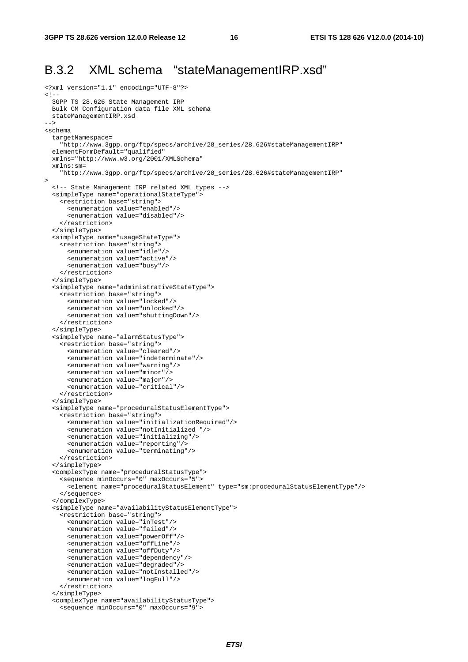#### B.3.2 XML schema "stateManagementIRP.xsd"

```
<?xml version="1.1" encoding="UTF-8"?> 
\leq ! - 3GPP TS 28.626 State Management IRP 
  Bulk CM Configuration data file XML schema 
   stateManagementIRP.xsd 
--> 
<schema 
   targetNamespace= 
     "http://www.3gpp.org/ftp/specs/archive/28_series/28.626#stateManagementIRP" 
   elementFormDefault="qualified" 
   xmlns="http://www.w3.org/2001/XMLSchema" 
   xmlns:sm= 
     "http://www.3gpp.org/ftp/specs/archive/28_series/28.626#stateManagementIRP" 
> 
   <!-- State Management IRP related XML types --> 
   <simpleType name="operationalStateType"> 
     <restriction base="string"> 
       <enumeration value="enabled"/> 
       <enumeration value="disabled"/> 
     </restriction> 
   </simpleType> 
   <simpleType name="usageStateType"> 
     <restriction base="string"> 
       <enumeration value="idle"/> 
       <enumeration value="active"/> 
       <enumeration value="busy"/> 
     </restriction> 
   </simpleType> 
   <simpleType name="administrativeStateType"> 
     <restriction base="string"> 
       <enumeration value="locked"/> 
       <enumeration value="unlocked"/> 
       <enumeration value="shuttingDown"/> 
     </restriction> 
   </simpleType> 
   <simpleType name="alarmStatusType"> 
     <restriction base="string"> 
       <enumeration value="cleared"/> 
       <enumeration value="indeterminate"/> 
       <enumeration value="warning"/> 
       <enumeration value="minor"/> 
       <enumeration value="major"/> 
       <enumeration value="critical"/> 
     </restriction> 
   </simpleType> 
   <simpleType name="proceduralStatusElementType"> 
     <restriction base="string"> 
       <enumeration value="initializationRequired"/> 
       <enumeration value="notInitialized "/> 
       <enumeration value="initializing"/> 
       <enumeration value="reporting"/> 
       <enumeration value="terminating"/> 
     </restriction> 
   </simpleType> 
   <complexType name="proceduralStatusType"> 
     <sequence minOccurs="0" maxOccurs="5"> 
       <element name="proceduralStatusElement" type="sm:proceduralStatusElementType"/> 
     </sequence> 
   </complexType> 
   <simpleType name="availabilityStatusElementType"> 
     <restriction base="string"> 
       <enumeration value="inTest"/> 
       <enumeration value="failed"/> 
       <enumeration value="powerOff"/> 
       <enumeration value="offLine"/> 
       <enumeration value="offDuty"/> 
       <enumeration value="dependency"/> 
       <enumeration value="degraded"/> 
       <enumeration value="notInstalled"/> 
       <enumeration value="logFull"/> 
     </restriction> 
   </simpleType> 
   <complexType name="availabilityStatusType"> 
     <sequence minOccurs="0" maxOccurs="9">
```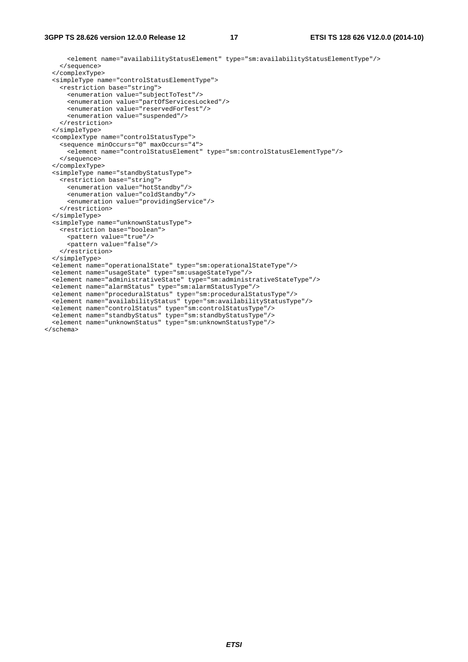<element name="availabilityStatusElement" type="sm:availabilityStatusElementType"/> </sequence> </complexType> <simpleType name="controlStatusElementType"> <restriction base="string"> <enumeration value="subjectToTest"/> <enumeration value="partOfServicesLocked"/> <enumeration value="reservedForTest"/> <enumeration value="suspended"/> </restriction> </simpleType> <complexType name="controlStatusType"> <sequence minOccurs="0" maxOccurs="4"> <element name="controlStatusElement" type="sm:controlStatusElementType"/> </sequence> </complexType> <simpleType name="standbyStatusType"> <restriction base="string"> <enumeration value="hotStandby"/> <enumeration value="coldStandby"/> <enumeration value="providingService"/> </restriction> </simpleType> <simpleType name="unknownStatusType"> <restriction base="boolean"> <pattern value="true"/> <pattern value="false"/> </restriction> </simpleType> <element name="operationalState" type="sm:operationalStateType"/> <element name="usageState" type="sm:usageStateType"/> <element name="administrativeState" type="sm:administrativeStateType"/> <element name="alarmStatus" type="sm:alarmStatusType"/> <element name="proceduralStatus" type="sm:proceduralStatusType"/> <element name="availabilityStatus" type="sm:availabilityStatusType"/> <element name="controlStatus" type="sm:controlStatusType"/> <element name="standbyStatus" type="sm:standbyStatusType"/> <element name="unknownStatus" type="sm:unknownStatusType"/> </schema>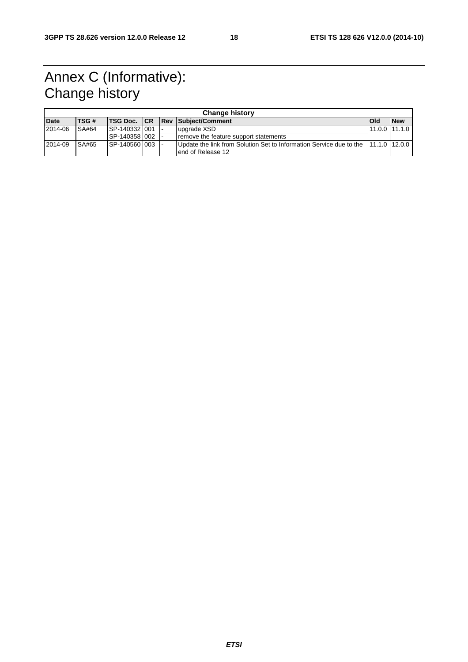# Annex C (Informative): Change history

|             | <b>Change history</b> |             |                 |  |  |                                                                                   |                 |            |
|-------------|-----------------------|-------------|-----------------|--|--|-----------------------------------------------------------------------------------|-----------------|------------|
| <b>Date</b> |                       | <b>TSG#</b> |                 |  |  | <b>TSG Doc. ICR IRev ISubiect/Comment</b>                                         | <b>IOI</b> d    | <b>New</b> |
| 2014-06     |                       | SA#64       | SP-140332 001   |  |  | upgrade XSD                                                                       | $11.0.0$ 11.1.0 |            |
|             |                       |             | ISP-140358 I002 |  |  | remove the feature support statements                                             |                 |            |
| 2014-09     |                       | SA#65       | ISP-140560 003  |  |  | Update the link from Solution Set to Information Service due to the 11.1.0 12.0.0 |                 |            |
|             |                       |             |                 |  |  | lend of Release 12                                                                |                 |            |